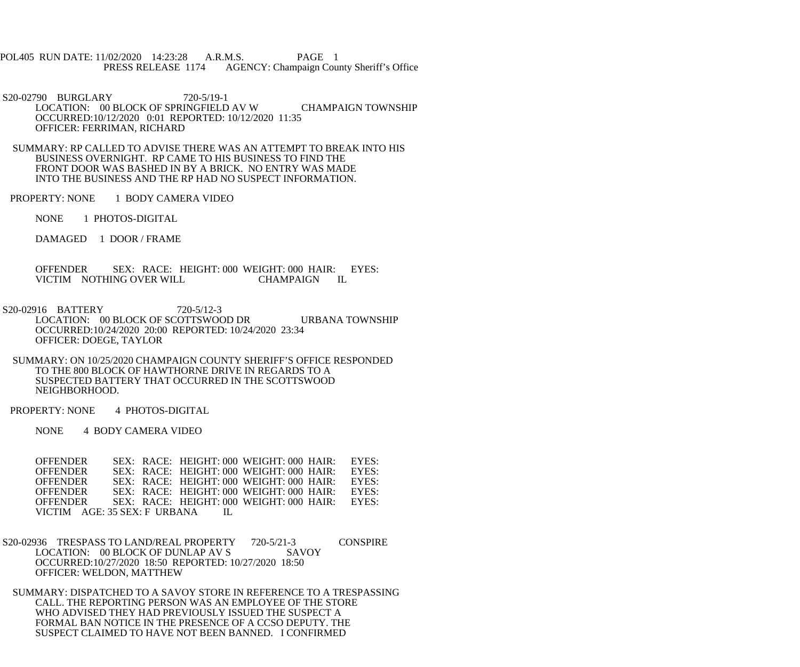POL405 RUN DATE: 11/02/2020 14:23:28 A.R.M.S. PAGE 1 PRESS RELEASE 1174 AGENCY: Champaign County Sheriff's Office

 S20-02790 BURGLARY 720-5/19-1 LOCATION: 00 BLOCK OF SPRINGFIELD AV W CHAMPAIGN TOWNSHIP OCCURRED:10/12/2020 0:01 REPORTED: 10/12/2020 11:35 OFFICER: FERRIMAN, RICHARD

 SUMMARY: RP CALLED TO ADVISE THERE WAS AN ATTEMPT TO BREAK INTO HIS BUSINESS OVERNIGHT. RP CAME TO HIS BUSINESS TO FIND THE FRONT DOOR WAS BASHED IN BY A BRICK. NO ENTRY WAS MADE INTO THE BUSINESS AND THE RP HAD NO SUSPECT INFORMATION.

PROPERTY: NONE 1 BODY CAMERA VIDEO

NONE 1 PHOTOS-DIGITAL

DAMAGED 1 DOOR / FRAME

 OFFENDER SEX: RACE: HEIGHT: 000 WEIGHT: 000 HAIR: EYES: VICTIM NOTHING OVER WILL CHAMPAIGN IL

 S20-02916 BATTERY 720-5/12-3 LOCATION: 00 BLOCK OF SCOTTSWOOD DR URBANA TOWNSHIP OCCURRED:10/24/2020 20:00 REPORTED: 10/24/2020 23:34 OFFICER: DOEGE, TAYLOR

 SUMMARY: ON 10/25/2020 CHAMPAIGN COUNTY SHERIFF'S OFFICE RESPONDED TO THE 800 BLOCK OF HAWTHORNE DRIVE IN REGARDS TO A SUSPECTED BATTERY THAT OCCURRED IN THE SCOTTSWOOD NEIGHBORHOOD.

PROPERTY: NONE 4 PHOTOS-DIGITAL

NONE 4 BODY CAMERA VIDEO

OFFENDER SEX: RACE: HEIGHT: 000 WEIGHT: 000 HAIR: EYES:<br>OFFENDER SEX: RACE: HEIGHT: 000 WEIGHT: 000 HAIR: EYES: OFFENDER SEX: RACE: HEIGHT: 000 WEIGHT: 000 HAIR: EYES: OFFENDER SEX: RACE: HEIGHT: 000 WEIGHT: 000 HAIR: EYES: OFFENDER SEX: RACE: HEIGHT: 000 WEIGHT: 000 HAIR: EYES:<br>OFFENDER SEX: RACE: HEIGHT: 000 WEIGHT: 000 HAIR: EYES: OFFENDER SEX: RACE: HEIGHT: 000 WEIGHT: 000 HAIR: EYES:<br>OFFENDER SEX: RACE: HEIGHT: 000 WEIGHT: 000 HAIR: EYES: SEX: RACE: HEIGHT: 000 WEIGHT: 000 HAIR: VICTIM AGE: 35 SEX: F URBANA IL

S20-02936 TRESPASS TO LAND/REAL PROPERTY 720-5/21-3 CONSPIRE<br>LOCATION: 00 BLOCK OF DUNLAP AV S SAVOY LOCATION: 00 BLOCK OF DUNLAP AV S OCCURRED:10/27/2020 18:50 REPORTED: 10/27/2020 18:50 OFFICER: WELDON, MATTHEW

 SUMMARY: DISPATCHED TO A SAVOY STORE IN REFERENCE TO A TRESPASSING CALL. THE REPORTING PERSON WAS AN EMPLOYEE OF THE STORE WHO ADVISED THEY HAD PREVIOUSLY ISSUED THE SUSPECT A FORMAL BAN NOTICE IN THE PRESENCE OF A CCSO DEPUTY. THE SUSPECT CLAIMED TO HAVE NOT BEEN BANNED. I CONFIRMED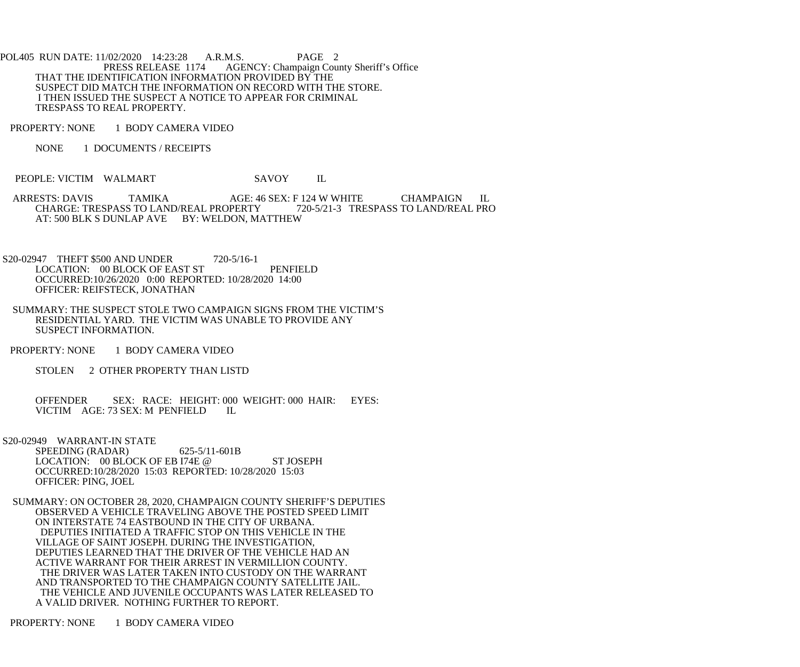POL405 RUN DATE: 11/02/2020 14:23:28 A.R.M.S. PAGE 2<br>PRESS RELEASE 1174 AGENCY: Champaign Cou AGENCY: Champaign County Sheriff's Office THAT THE IDENTIFICATION INFORMATION PROVIDED BY THE SUSPECT DID MATCH THE INFORMATION ON RECORD WITH THE STORE. I THEN ISSUED THE SUSPECT A NOTICE TO APPEAR FOR CRIMINAL TRESPASS TO REAL PROPERTY.

PROPERTY: NONE 1 BODY CAMERA VIDEO

NONE 1 DOCUMENTS / RECEIPTS

PEOPLE: VICTIM WALMART SAVOY IL

ARRESTS: DAVIS TAMIKA AGE: 46 SEX: F 124 W WHITE CHAMPAIGN IL CHARGE: TRESPASS TO LAND/REAL PROPERTY 720-5/21-3 TRESPASS TO LAND/REAL PRO CHARGE: TRESPASS TO LAND/REAL PROPERTY AT: 500 BLK S DUNLAP AVE BY: WELDON, MATTHEW

S20-02947 THEFT \$500 AND UNDER 720-5/16-1 LOCATION: 00 BLOCK OF EAST ST PENFIELD OCCURRED:10/26/2020 0:00 REPORTED: 10/28/2020 14:00 OFFICER: REIFSTECK, JONATHAN

- SUMMARY: THE SUSPECT STOLE TWO CAMPAIGN SIGNS FROM THE VICTIM'S RESIDENTIAL YARD. THE VICTIM WAS UNABLE TO PROVIDE ANY SUSPECT INFORMATION.
- PROPERTY: NONE 1 BODY CAMERA VIDEO
	- STOLEN 2 OTHER PROPERTY THAN LISTD

 OFFENDER SEX: RACE: HEIGHT: 000 WEIGHT: 000 HAIR: EYES: VICTIM AGE: 73 SEX: M PENFIELD IL

 S20-02949 WARRANT-IN STATE SPEEDING (RADAR) 625-5/11-601B LOCATION: 00 BLOCK OF EB I74E @ ST JOSEPH OCCURRED:10/28/2020 15:03 REPORTED: 10/28/2020 15:03 OFFICER: PING, JOEL

 SUMMARY: ON OCTOBER 28, 2020, CHAMPAIGN COUNTY SHERIFF'S DEPUTIES OBSERVED A VEHICLE TRAVELING ABOVE THE POSTED SPEED LIMIT ON INTERSTATE 74 EASTBOUND IN THE CITY OF URBANA. DEPUTIES INITIATED A TRAFFIC STOP ON THIS VEHICLE IN THE VILLAGE OF SAINT JOSEPH. DURING THE INVESTIGATION, DEPUTIES LEARNED THAT THE DRIVER OF THE VEHICLE HAD AN ACTIVE WARRANT FOR THEIR ARREST IN VERMILLION COUNTY. THE DRIVER WAS LATER TAKEN INTO CUSTODY ON THE WARRANT AND TRANSPORTED TO THE CHAMPAIGN COUNTY SATELLITE JAIL. THE VEHICLE AND JUVENILE OCCUPANTS WAS LATER RELEASED TO A VALID DRIVER. NOTHING FURTHER TO REPORT.

PROPERTY: NONE 1 BODY CAMERA VIDEO